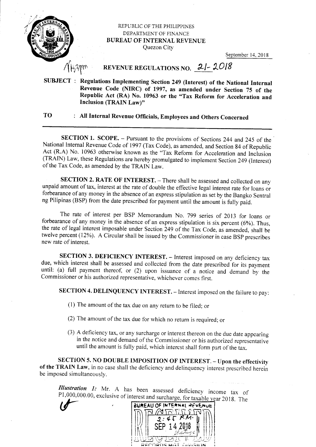

## REPUBLIC OF THE PHILIPPINES DEPARTMENT OF FINANCE BUREAU OF INTERNAL REVENUE Quezon City

September 14, 2018

## REVENUE REGULATIONS NO.  $2/- 2018$

SUBJECT : Regulations fmplementing Section 249 (lnterest) of the National Internal Revenue Code (NIRC) of 1997, as amended under Section 75 of the Republic Act  $(RA)$  No. 10963 or the "Tax Reform for Acceleration and Inclusion (TRAIN Law)"

## TO : All Internal Revenue officials, Employees and others concerned

SECTION 1. SCOPE. - Pursuant to the provisions of Sections 244 and 245 of the National Internal Revenue Code of 1997 (Tax Code), as amended, and Section 84 of Republic<br>Act (R.A) No. 10963 otherwise known as the "Tax Reform for Acceleration and Inclusion (TRAIN) Law, these Regulations are hereby promulgated to implement Section 249 (Interest) of the Tax Code, as amended by the TRAIN Law.

SECTION 2. RATE OF INTEREST. - There shall be assessed and collected on any unpaid amount of tax, interest at the rate of double the effective legal interest rate for loans or forbearance of any money in the absence of an express stipulation as set by the Bangko Sentral ng Pilipinas (BSP) from the date prescribed for payment until the amount is fully paid.

The rate of interest per BSP Memorandum No. 799 series of 2013 for loans or forbearance of any money in the absence of an express stipulation is six percent (6%). Thus, the rate of legal interest imposable under Section 249 of the Tax Code, as amended, shall be twelve percent (12%). A Circular shall be issued by the Commissioner in case BSP prescribes new rate of interest.

SECTION 3. DEFICIENCY INTEREST. - Interest imposed on any deficiency tax due, which interest shall be assessed and collected from the date prescribed for its payment until: (a) full payment thereof, or (2) upon issuance of a notice and demand by the commissioner or his authorized representative, whichever comes first.

SECTION 4. DELINQUENCY INTEREST. - Interest imposed on the failure to pay:

(l) The amount of the tax due on any return to be filed;or

- (2) The amount of the tax due for which no return is required; or
- (3) A deficiency tax, or any surcharge or interest thereon on the due date appcaring in the notice and demand of the Commissioner or his authorized representative until the amount is fully paid, which interest shall form part of the tax.

SECTION 5. NO DOUBLE IMPOSITION OF INTEREST. - Upon the effectivity of the TRAIN Law, in no case shall the deficiency and delinquency interest prescribed herein be imposed simultanecusly.

Illustration 1: Mr. A has been assessed deficiency income tax P1,000,000.00, exclusive of interest and surcharge, for taxable year 2018. of The

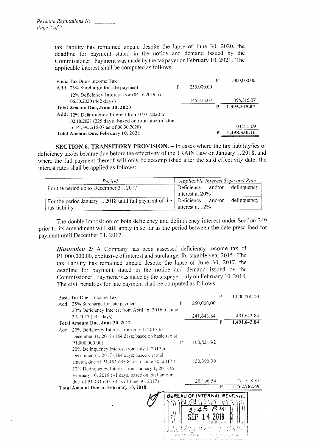tax liability has remained unpaid despite the lapse of June 30, 2020, the deadline for payment stated in the notice and demand issued by the Commissioner. Payment was made by the taxpayer on February 10, 2021. The applicable interest shall be computed as follows:

| Basic Tax Due - Income Tax                       |   |            | Р | 1,000,000.00 |
|--------------------------------------------------|---|------------|---|--------------|
| Add: 25% Surcharge for late payment              | Р | 250,000.00 |   |              |
| 12% Deficiency Interest from 04.16.2019 to       |   |            |   |              |
| 06.30.2020 (442 days)                            |   | 145,315.07 |   | 395,315.07   |
| Total Amount Due, June 30, 2020                  |   |            |   | 1,395,315.07 |
| Add: 12% Delinquency Interest from 07.01.2020 to |   |            |   |              |
| 02.10.2021 (225 days; based on total amount due  |   |            |   |              |
| of P1,395,315.07 as of 06.30.2020)               |   |            |   | 103,215.09   |
| Total Amount Due, February 10, 2021              |   |            | р | 1,498,530.16 |

**SECTION 6. TRANSITORY PROVISION.**  $-$  In cases where the tax liability/ies or deficiency tax/es became due before the effectivity of the TRAIN Law on January 1, 2018, and where the full payment thereof will only be accomplished after the said effectivity date, the interest rates shall be applied as follows:

| Period                                                                             | Applicable Interest Type and Rate |  |  |  |
|------------------------------------------------------------------------------------|-----------------------------------|--|--|--|
| For the period up to December 31, 2017                                             | Deficiency and/or delinquency     |  |  |  |
|                                                                                    | interest at 20%                   |  |  |  |
| For the period January 1, 2018 until full payment of the $\vert$ Deficiency and/or | delinquency                       |  |  |  |
| tax liability                                                                      | interest at 12%                   |  |  |  |

The double imposition of both deficiency and delinquency interest under Section 249 prior to its amendment will still apply in so far as the period between the date prescribed for payment until December 31, 2017.

Illustration 2: A Company has been assessed deficiency income tax of P1,000,000.00, exclusive of interest and surcharge, for taxable year 2015. The tax liability has remained unpaid despite the lapse of June 30, 2017, the deadline for payment stated in the notice and demand issued by the Commissioner, Payment was made by the taxpayer only on February 10, 2018. The civil penalties for late payment shall be computed as follows:

| Basic Tax Due - Income Tax                          |                            |            | P | 1,000,000.00 |  |
|-----------------------------------------------------|----------------------------|------------|---|--------------|--|
| Add: 25% Surcharge for late payment                 | P                          | 250,000.00 |   |              |  |
| 20% Deficiency Interest from April 16, 2016 to June |                            |            |   |              |  |
| 30, 2017 (441 days)                                 |                            | 241,643.84 |   | 491,643.84   |  |
| Total Amount Due, June 30, 2017                     |                            |            | P | 1,491,643.84 |  |
| Add: 20% Deficiency Interest from July 1, 2017 to   |                            |            |   |              |  |
| December 31, 2017 (184 days; based on basic tax of  |                            |            |   |              |  |
| P1,000,000.00)                                      | P                          | 100.821.92 |   |              |  |
| 20% Delinquency Interest from July 1, 2017 to       |                            |            |   |              |  |
| December 31, 2017 (184 days; based on total         |                            |            |   |              |  |
| amount due of P1,491,643.84 as of June 30, 2017)    |                            | 150,390.39 |   |              |  |
| 12% Delinquency Interest from January 1, 2018 to    |                            |            |   |              |  |
| February 10, 2018 (41 days; based on total amount   |                            |            |   |              |  |
| due of P1,491,643.84 as of June 30, 2017)           |                            | 20.106.54  |   | 271.318.85   |  |
| <b>Total Amount Due on February 10, 2018</b>        |                            |            | P | 1,762,962.69 |  |
|                                                     | BUREAU OF INTERNAL REVENUE |            |   |              |  |
|                                                     |                            |            |   |              |  |
|                                                     |                            |            |   |              |  |
|                                                     |                            |            |   |              |  |
|                                                     |                            |            |   |              |  |
|                                                     |                            |            |   |              |  |
|                                                     |                            |            |   |              |  |
|                                                     |                            |            |   |              |  |